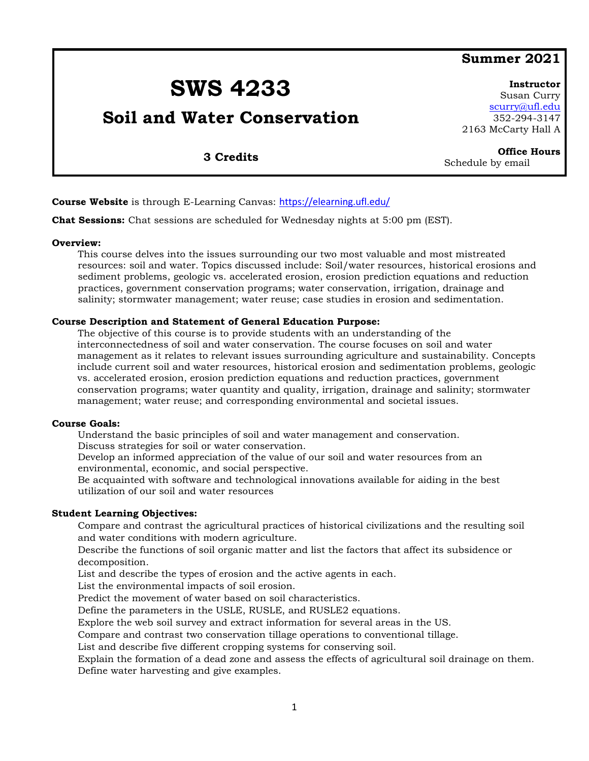### **Summer 2021**

# **SWS 4233**

## **Soil and Water Conservation**

**Instructor** Susan Curry [scurry@ufl.edu](mailto:scurry@ufl.edu) 352-294-3147 2163 McCarty Hall A

Schedule by email

**Office Hours**

**3 Credits**

#### **Course Website** is through E-Learning Canvas: <https://elearning.ufl.edu/>

**Chat Sessions:** Chat sessions are scheduled for Wednesday nights at 5:00 pm (EST).

#### **Overview:**

This course delves into the issues surrounding our two most valuable and most mistreated resources: soil and water. Topics discussed include: Soil/water resources, historical erosions and sediment problems, geologic vs. accelerated erosion, erosion prediction equations and reduction practices, government conservation programs; water conservation, irrigation, drainage and salinity; stormwater management; water reuse; case studies in erosion and sedimentation.

#### **Course Description and Statement of General Education Purpose:**

The objective of this course is to provide students with an understanding of the interconnectedness of soil and water conservation. The course focuses on soil and water management as it relates to relevant issues surrounding agriculture and sustainability. Concepts include current soil and water resources, historical erosion and sedimentation problems, geologic vs. accelerated erosion, erosion prediction equations and reduction practices, government conservation programs; water quantity and quality, irrigation, drainage and salinity; stormwater management; water reuse; and corresponding environmental and societal issues.

#### **Course Goals:**

Understand the basic principles of soil and water management and conservation. Discuss strategies for soil or water conservation.

Develop an informed appreciation of the value of our soil and water resources from an environmental, economic, and social perspective.

Be acquainted with software and technological innovations available for aiding in the best utilization of our soil and water resources

#### **Student Learning Objectives:**

Compare and contrast the agricultural practices of historical civilizations and the resulting soil and water conditions with modern agriculture.

Describe the functions of soil organic matter and list the factors that affect its subsidence or decomposition.

List and describe the types of erosion and the active agents in each.

List the environmental impacts of soil erosion.

Predict the movement of water based on soil characteristics.

Define the parameters in the USLE, RUSLE, and RUSLE2 equations.

Explore the web soil survey and extract information for several areas in the US.

Compare and contrast two conservation tillage operations to conventional tillage.

List and describe five different cropping systems for conserving soil.

Explain the formation of a dead zone and assess the effects of agricultural soil drainage on them. Define water harvesting and give examples.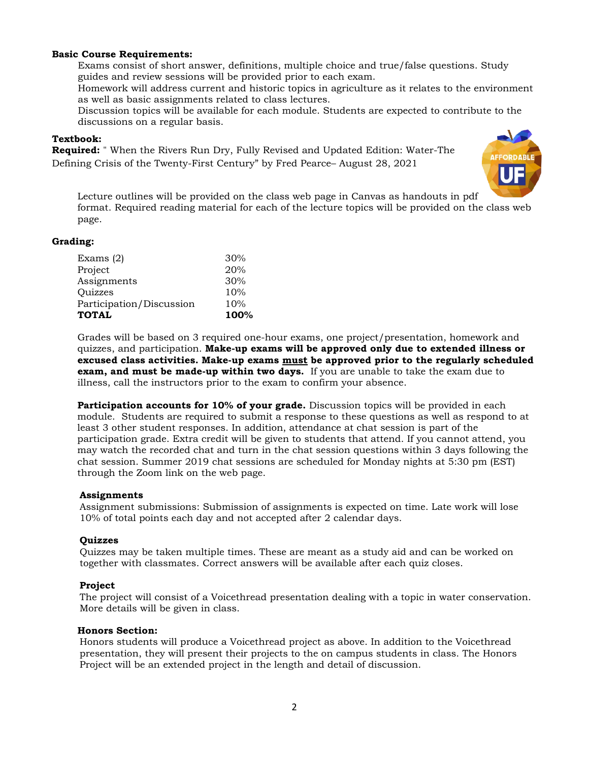#### **Basic Course Requirements:**

Exams consist of short answer, definitions, multiple choice and true/false questions. Study guides and review sessions will be provided prior to each exam.

Homework will address current and historic topics in agriculture as it relates to the environment as well as basic assignments related to class lectures.

Discussion topics will be available for each module. Students are expected to contribute to the discussions on a regular basis.

#### **Textbook:**

**Required:** " When the Rivers Run Dry, Fully Revised and Updated Edition: Water-The Defining Crisis of the Twenty-First Century" by Fred Pearce– August 28, 2021



Lecture outlines will be provided on the class web page in Canvas as handouts in pdf format. Required reading material for each of the lecture topics will be provided on the class web page.

#### **Grading:**

| <b>TOTAL</b>             | 100% |
|--------------------------|------|
| Participation/Discussion | 10%  |
| Quizzes                  | 10%  |
| Assignments              | 30%  |
| Project                  | 20%  |
| Exams $(2)$              | 30%  |

Grades will be based on 3 required one-hour exams, one project/presentation, homework and quizzes, and participation. **Make-up exams will be approved only due to extended illness or excused class activities. Make-up exams must be approved prior to the regularly scheduled exam, and must be made-up within two days.** If you are unable to take the exam due to illness, call the instructors prior to the exam to confirm your absence.

**Participation accounts for 10% of your grade.** Discussion topics will be provided in each module. Students are required to submit a response to these questions as well as respond to at least 3 other student responses. In addition, attendance at chat session is part of the participation grade. Extra credit will be given to students that attend. If you cannot attend, you may watch the recorded chat and turn in the chat session questions within 3 days following the chat session. Summer 2019 chat sessions are scheduled for Monday nights at 5:30 pm (EST) through the Zoom link on the web page.

#### **Assignments**

Assignment submissions: Submission of assignments is expected on time. Late work will lose 10% of total points each day and not accepted after 2 calendar days.

#### **Quizzes**

Quizzes may be taken multiple times. These are meant as a study aid and can be worked on together with classmates. Correct answers will be available after each quiz closes.

#### **Project**

The project will consist of a Voicethread presentation dealing with a topic in water conservation. More details will be given in class.

#### **Honors Section:**

Honors students will produce a Voicethread project as above. In addition to the Voicethread presentation, they will present their projects to the on campus students in class. The Honors Project will be an extended project in the length and detail of discussion.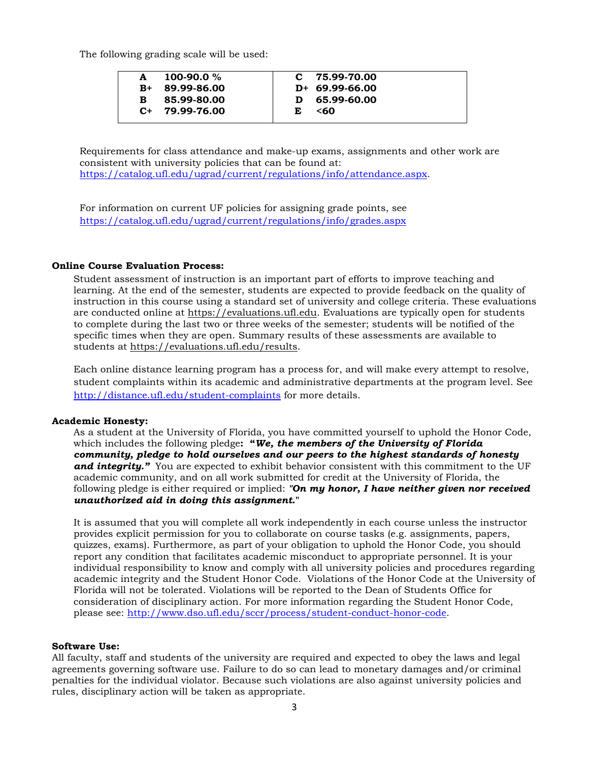The following grading scale will be used:

|      | 100-90.0 $%$     |   | $C$ 75.99-70.00  |
|------|------------------|---|------------------|
| $R+$ | 89.99-86.00      |   | $D+ 69.99-66.00$ |
| R.   | 85.99-80.00      |   | D 65.99-60.00    |
|      | $C+ 79.99-76.00$ | E | <60              |
|      |                  |   |                  |

Requirements for class attendance and make-up exams, assignments and other work are consistent with university policies that can be found at: [https://catalog.ufl.edu/ugrad/current/regulations/info/attendance.aspx.](https://catalog.ufl.edu/ugrad/current/regulations/info/attendance.aspx)

For information on current UF policies for assigning grade points, see <https://catalog.ufl.edu/ugrad/current/regulations/info/grades.aspx>

#### **Online Course Evaluation Process:**

Student assessment of instruction is an important part of efforts to improve teaching and learning. At the end of the semester, students are expected to provide feedback on the quality of instruction in this course using a standard set of university and college criteria. These evaluations are conducted online at [https://evaluations.ufl.edu.](https://evaluations.ufl.edu/) Evaluations are typically open for students to complete during the last two or three weeks of the semester; students will be notified of the specific times when they are open. Summary results of these assessments are available to students at [https://evaluations.ufl.edu/results.](https://evaluations.ufl.edu/results)

Each online distance learning program has a process for, and will make every attempt to resolve, student complaints within its academic and administrative departments at the program level. See <http://distance.ufl.edu/student-complaints> for more details.

#### **Academic Honesty:**

As a student at the University of Florida, you have committed yourself to uphold the Honor Code, which includes the following pledge**: "***We, the members of the University of Florida community, pledge to hold ourselves and our peers to the highest standards of honesty and integrity."* You are expected to exhibit behavior consistent with this commitment to the UF academic community, and on all work submitted for credit at the University of Florida, the following pledge is either required or implied: *"On my honor, I have neither given nor received unauthorized aid in doing this assignment***."** 

It is assumed that you will complete all work independently in each course unless the instructor provides explicit permission for you to collaborate on course tasks (e.g. assignments, papers, quizzes, exams). Furthermore, as part of your obligation to uphold the Honor Code, you should report any condition that facilitates academic misconduct to appropriate personnel. It is your individual responsibility to know and comply with all university policies and procedures regarding academic integrity and the Student Honor Code. Violations of the Honor Code at the University of Florida will not be tolerated. Violations will be reported to the Dean of Students Office for consideration of disciplinary action. For more information regarding the Student Honor Code, please see: [http://www.dso.ufl.edu/sccr/process/student-conduct-honor-code.](http://www.dso.ufl.edu/sccr/process/student-conduct-honor-code)

#### **Software Use:**

All faculty, staff and students of the university are required and expected to obey the laws and legal agreements governing software use. Failure to do so can lead to monetary damages and/or criminal penalties for the individual violator. Because such violations are also against university policies and rules, disciplinary action will be taken as appropriate.